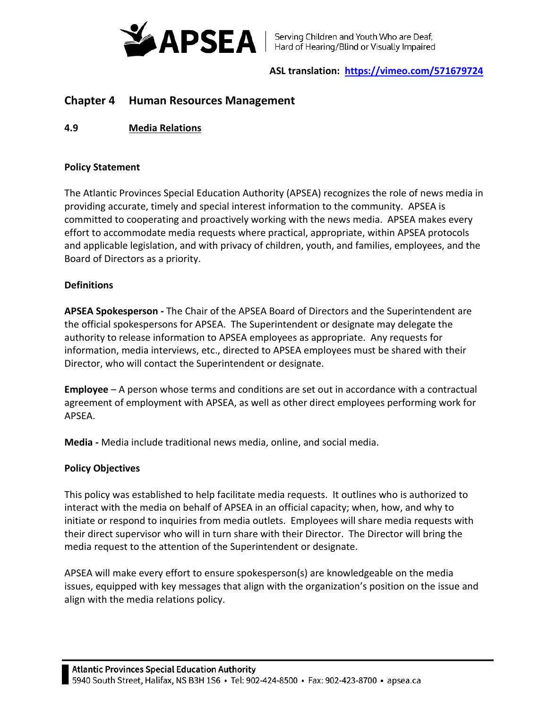

# **ASL translation: <https://vimeo.com/571679724>**

# **Chapter 4 Human Resources Management**

**4.9 Media Relations**

## **Policy Statement**

The Atlantic Provinces Special Education Authority (APSEA) recognizes the role of news media in providing accurate, timely and special interest information to the community. APSEA is committed to cooperating and proactively working with the news media. APSEA makes every effort to accommodate media requests where practical, appropriate, within APSEA protocols and applicable legislation, and with privacy of children, youth, and families, employees, and the Board of Directors as a priority.

# **Definitions**

**APSEA Spokesperson -** The Chair of the APSEA Board of Directors and the Superintendent are the official spokespersons for APSEA. The Superintendent or designate may delegate the authority to release information to APSEA employees as appropriate. Any requests for information, media interviews, etc., directed to APSEA employees must be shared with their Director, who will contact the Superintendent or designate.

**Employee** – A person whose terms and conditions are set out in accordance with a contractual agreement of employment with APSEA, as well as other direct employees performing work for APSEA.

**Media -** Media include traditional news media, online, and social media.

# **Policy Objectives**

This policy was established to help facilitate media requests. It outlines who is authorized to interact with the media on behalf of APSEA in an official capacity; when, how, and why to initiate or respond to inquiries from media outlets. Employees will share media requests with their direct supervisor who will in turn share with their Director. The Director will bring the media request to the attention of the Superintendent or designate.

APSEA will make every effort to ensure spokesperson(s) are knowledgeable on the media issues, equipped with key messages that align with the organization's position on the issue and align with the media relations policy.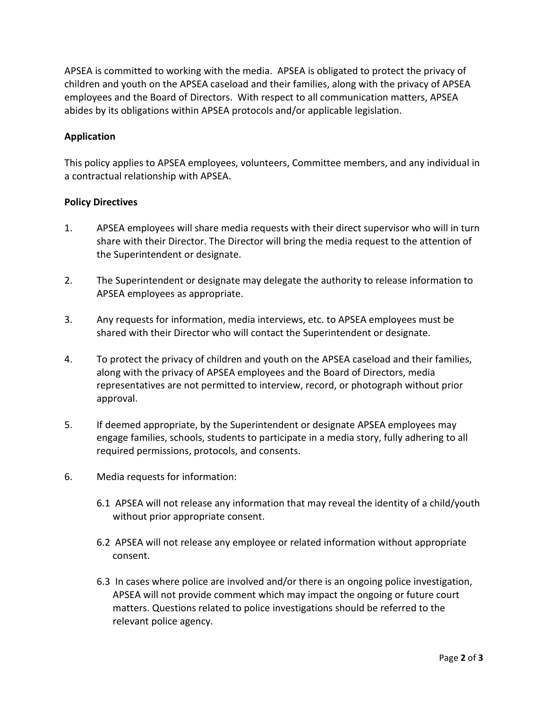APSEA is committed to working with the media. APSEA is obligated to protect the privacy of children and youth on the APSEA caseload and their families, along with the privacy of APSEA employees and the Board of Directors. With respect to all communication matters, APSEA abides by its obligations within APSEA protocols and/or applicable legislation.

## **Application**

This policy applies to APSEA employees, volunteers, Committee members, and any individual in a contractual relationship with APSEA.

## **Policy Directives**

- 1. APSEA employees will share media requests with their direct supervisor who will in turn share with their Director. The Director will bring the media request to the attention of the Superintendent or designate.
- 2. The Superintendent or designate may delegate the authority to release information to APSEA employees as appropriate.
- 3. Any requests for information, media interviews, etc. to APSEA employees must be shared with their Director who will contact the Superintendent or designate.
- 4. To protect the privacy of children and youth on the APSEA caseload and their families, along with the privacy of APSEA employees and the Board of Directors, media representatives are not permitted to interview, record, or photograph without prior approval.
- 5. If deemed appropriate, by the Superintendent or designate APSEA employees may engage families, schools, students to participate in a media story, fully adhering to all required permissions, protocols, and consents.
- 6. Media requests for information:
	- 6.1 APSEA will not release any information that may reveal the identity of a child/youth without prior appropriate consent.
	- 6.2 APSEA will not release any employee or related information without appropriate consent.
	- 6.3 In cases where police are involved and/or there is an ongoing police investigation, APSEA will not provide comment which may impact the ongoing or future court matters. Questions related to police investigations should be referred to the relevant police agency.